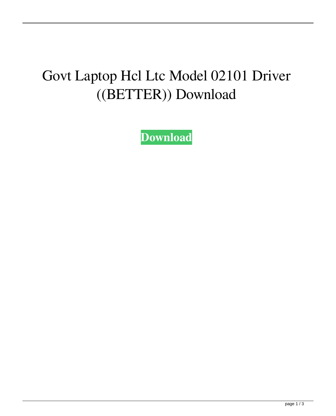## Govt Laptop Hcl Ltc Model 02101 Driver ((BETTER)) Download

**[Download](http://evacdir.com/chmpi/dulwich.R292dCBMYXB0b3AgSGNsIEx0YyBNb2RlbCAwMjEwMSBEcml2ZXIgRG93bmxvYWQR29?expectedly=/gallos/headscarves/phytonutrients&pragmatic=ZG93bmxvYWR8SmM2TkRseWQzeDhNVFkxTlRnME1qazRNWHg4TWpVNE4zeDhLRTBwSUVobGNtOXJkU0JiUm1GemRDQkhSVTVk)**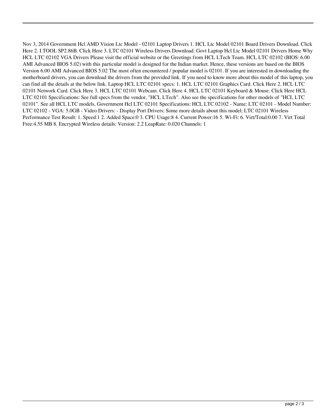Nov 3, 2014 Government Hcl AMD Vision Ltc Model - 02101 Laptop Drivers 1. HCL Ltc Model 02101 Board Drivers Download. Click Here 2. I.TOOL SP2.86B. Click Here 3. LTC 02101 Wireless Drivers Download. Govt Laptop Hcl Ltc Model 02101 Drivers Home Why HCL LTC 02102 VGA Drivers Please visit the official website or the Greetings from HCL LTech Team. HCL LTC 02102 (BIOS: 6.00 AMI Advanced BIOS 5.02) with this particular model is designed for the Indian market. Hence, these versions are based on the BIOS Version 6.00 AMI Advanced BIOS 5.02 The most often encountered / popular model is 02101. If you are interested in downloading the motherboard drivers, you can download the drivers from the provided link. If you need to know more about this model of this laptop, you can find all the details at the below link. Laptop HCL LTC 02101 specs: 1. HCL LTC 02101 Graphics Card. Click Here 2. HCL LTC 02101 Network Card. Click Here 3. HCL LTC 02101 Webcam. Click Here 4. HCL LTC 02101 Keyboard & Mouse. Click Here HCL LTC 02101 Specifications: See full specs from the vendor, "HCL LTech". Also see the specifications for other models of "HCL LTC 02101". See all HCL LTC models, Government Hcl LTC 02101 Specifications: HCL LTC 02102 - Name: LTC 02101 - Model Number: LTC 02102 - VGA: 5.0GB - Video Drivers: - Display Port Drivers: Some more details about this model: LTC 02101 Wireless Performance Test Result: 1. Speed:1 2. Added Space:0 3. CPU Usage:8 4. Current Power:16 5. Wi-Fi: 6. Virt/Total:0.00 7. Virt Total Free:4.55 MB 8. Encrypted Wireless details: Version: 2.2 LeapRate: 0.020 Channels: 1